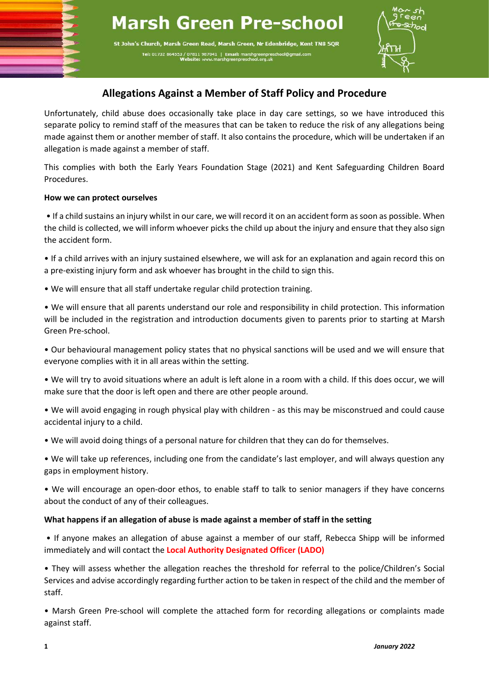# **Marsh Green Pre-school**

St John's Church, Marsh Green Road, Marsh Green, Nr Edenbridge, Kent TN8 5QR Tel: 01732 864553 / 07811 987041 | Ema



## **Allegations Against a Member of Staff Policy and Procedure**

Unfortunately, child abuse does occasionally take place in day care settings, so we have introduced this separate policy to remind staff of the measures that can be taken to reduce the risk of any allegations being made against them or another member of staff. It also contains the procedure, which will be undertaken if an allegation is made against a member of staff.

This complies with both the Early Years Foundation Stage (2021) and Kent Safeguarding Children Board Procedures.

#### **How we can protect ourselves**

• If a child sustains an injury whilst in our care, we will record it on an accident form as soon as possible. When the child is collected, we will inform whoever picks the child up about the injury and ensure that they also sign the accident form.

• If a child arrives with an injury sustained elsewhere, we will ask for an explanation and again record this on a pre-existing injury form and ask whoever has brought in the child to sign this.

• We will ensure that all staff undertake regular child protection training.

• We will ensure that all parents understand our role and responsibility in child protection. This information will be included in the registration and introduction documents given to parents prior to starting at Marsh Green Pre-school.

• Our behavioural management policy states that no physical sanctions will be used and we will ensure that everyone complies with it in all areas within the setting.

• We will try to avoid situations where an adult is left alone in a room with a child. If this does occur, we will make sure that the door is left open and there are other people around.

• We will avoid engaging in rough physical play with children - as this may be misconstrued and could cause accidental injury to a child.

• We will avoid doing things of a personal nature for children that they can do for themselves.

• We will take up references, including one from the candidate's last employer, and will always question any gaps in employment history.

• We will encourage an open-door ethos, to enable staff to talk to senior managers if they have concerns about the conduct of any of their colleagues.

#### **What happens if an allegation of abuse is made against a member of staff in the setting**

• If anyone makes an allegation of abuse against a member of our staff, Rebecca Shipp will be informed immediately and will contact the **Local Authority Designated Officer (LADO)**

• They will assess whether the allegation reaches the threshold for referral to the police/Children's Social Services and advise accordingly regarding further action to be taken in respect of the child and the member of staff.

• Marsh Green Pre-school will complete the attached form for recording allegations or complaints made against staff.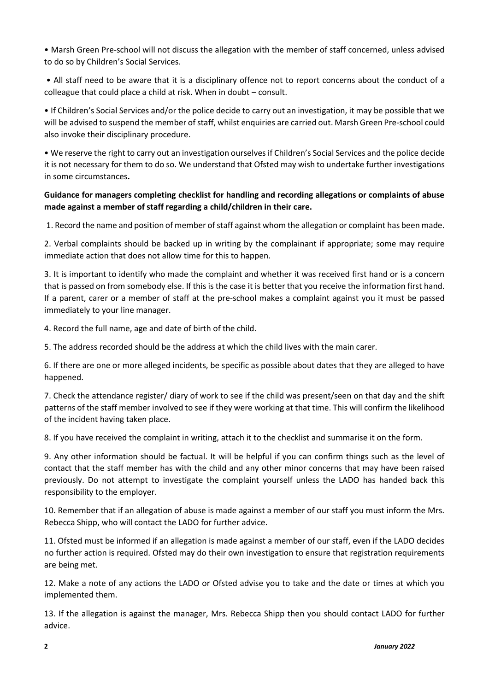• Marsh Green Pre-school will not discuss the allegation with the member of staff concerned, unless advised to do so by Children's Social Services.

• All staff need to be aware that it is a disciplinary offence not to report concerns about the conduct of a colleague that could place a child at risk. When in doubt – consult.

• If Children's Social Services and/or the police decide to carry out an investigation, it may be possible that we will be advised to suspend the member of staff, whilst enquiries are carried out. Marsh Green Pre-school could also invoke their disciplinary procedure.

• We reserve the right to carry out an investigation ourselves if Children's Social Services and the police decide it is not necessary for them to do so. We understand that Ofsted may wish to undertake further investigations in some circumstances**.** 

#### **Guidance for managers completing checklist for handling and recording allegations or complaints of abuse made against a member of staff regarding a child/children in their care.**

1. Record the name and position of member of staff against whom the allegation or complaint has been made.

2. Verbal complaints should be backed up in writing by the complainant if appropriate; some may require immediate action that does not allow time for this to happen.

3. It is important to identify who made the complaint and whether it was received first hand or is a concern that is passed on from somebody else. If this is the case it is better that you receive the information first hand. If a parent, carer or a member of staff at the pre-school makes a complaint against you it must be passed immediately to your line manager.

4. Record the full name, age and date of birth of the child.

5. The address recorded should be the address at which the child lives with the main carer.

6. If there are one or more alleged incidents, be specific as possible about dates that they are alleged to have happened.

7. Check the attendance register/ diary of work to see if the child was present/seen on that day and the shift patterns of the staff member involved to see if they were working at that time. This will confirm the likelihood of the incident having taken place.

8. If you have received the complaint in writing, attach it to the checklist and summarise it on the form.

9. Any other information should be factual. It will be helpful if you can confirm things such as the level of contact that the staff member has with the child and any other minor concerns that may have been raised previously. Do not attempt to investigate the complaint yourself unless the LADO has handed back this responsibility to the employer.

10. Remember that if an allegation of abuse is made against a member of our staff you must inform the Mrs. Rebecca Shipp, who will contact the LADO for further advice.

11. Ofsted must be informed if an allegation is made against a member of our staff, even if the LADO decides no further action is required. Ofsted may do their own investigation to ensure that registration requirements are being met.

12. Make a note of any actions the LADO or Ofsted advise you to take and the date or times at which you implemented them.

13. If the allegation is against the manager, Mrs. Rebecca Shipp then you should contact LADO for further advice.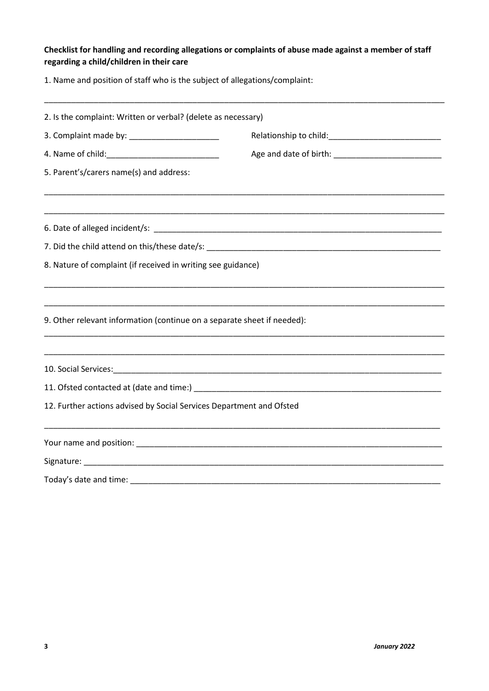#### **Checklist for handling and recording allegations or complaints of abuse made against a member of staff regarding a child/children in their care**

1. Name and position of staff who is the subject of allegations/complaint:

| 2. Is the complaint: Written or verbal? (delete as necessary) |                                                                                                                                                                                                                |  |
|---------------------------------------------------------------|----------------------------------------------------------------------------------------------------------------------------------------------------------------------------------------------------------------|--|
|                                                               |                                                                                                                                                                                                                |  |
|                                                               |                                                                                                                                                                                                                |  |
| 5. Parent's/carers name(s) and address:                       |                                                                                                                                                                                                                |  |
|                                                               |                                                                                                                                                                                                                |  |
|                                                               |                                                                                                                                                                                                                |  |
| 8. Nature of complaint (if received in writing see guidance)  |                                                                                                                                                                                                                |  |
|                                                               |                                                                                                                                                                                                                |  |
|                                                               |                                                                                                                                                                                                                |  |
|                                                               |                                                                                                                                                                                                                |  |
|                                                               |                                                                                                                                                                                                                |  |
|                                                               |                                                                                                                                                                                                                |  |
|                                                               | 9. Other relevant information (continue on a separate sheet if needed):<br><u> 1989 - Johann Stoff, amerikansk politiker (d. 1989)</u><br>12. Further actions advised by Social Services Department and Ofsted |  |
|                                                               |                                                                                                                                                                                                                |  |
|                                                               |                                                                                                                                                                                                                |  |
|                                                               |                                                                                                                                                                                                                |  |